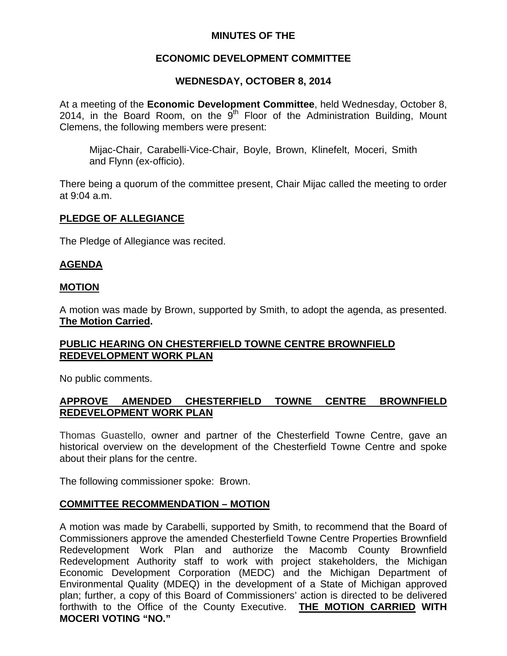# **MINUTES OF THE**

# **ECONOMIC DEVELOPMENT COMMITTEE**

# **WEDNESDAY, OCTOBER 8, 2014**

At a meeting of the **Economic Development Committee**, held Wednesday, October 8, 2014, in the Board Room, on the  $9<sup>th</sup>$  Floor of the Administration Building, Mount Clemens, the following members were present:

Mijac-Chair, Carabelli-Vice-Chair, Boyle, Brown, Klinefelt, Moceri, Smith and Flynn (ex-officio).

There being a quorum of the committee present, Chair Mijac called the meeting to order at 9:04 a.m.

# **PLEDGE OF ALLEGIANCE**

The Pledge of Allegiance was recited.

# **AGENDA**

#### **MOTION**

A motion was made by Brown, supported by Smith, to adopt the agenda, as presented. **The Motion Carried.** 

#### **PUBLIC HEARING ON CHESTERFIELD TOWNE CENTRE BROWNFIELD REDEVELOPMENT WORK PLAN**

No public comments.

# **APPROVE AMENDED CHESTERFIELD TOWNE CENTRE BROWNFIELD REDEVELOPMENT WORK PLAN**

Thomas Guastello, owner and partner of the Chesterfield Towne Centre, gave an historical overview on the development of the Chesterfield Towne Centre and spoke about their plans for the centre.

The following commissioner spoke: Brown.

# **COMMITTEE RECOMMENDATION – MOTION**

A motion was made by Carabelli, supported by Smith, to recommend that the Board of Commissioners approve the amended Chesterfield Towne Centre Properties Brownfield Redevelopment Work Plan and authorize the Macomb County Brownfield Redevelopment Authority staff to work with project stakeholders, the Michigan Economic Development Corporation (MEDC) and the Michigan Department of Environmental Quality (MDEQ) in the development of a State of Michigan approved plan; further, a copy of this Board of Commissioners' action is directed to be delivered forthwith to the Office of the County Executive. **THE MOTION CARRIED WITH MOCERI VOTING "NO."**